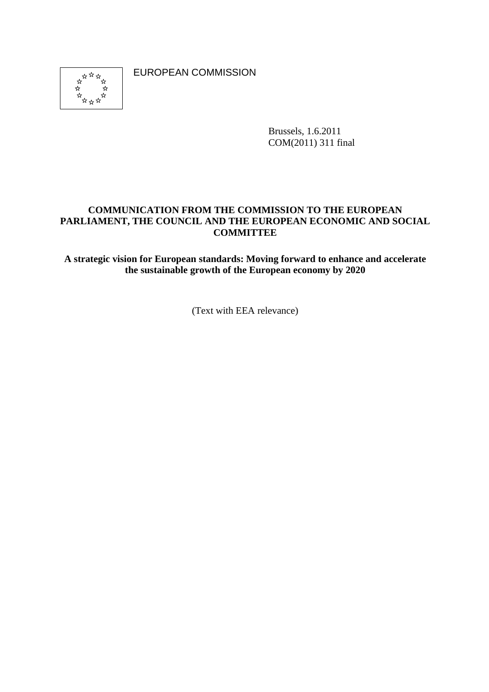EUROPEAN COMMISSION



Brussels, 1.6.2011 COM(2011) 311 final

## **COMMUNICATION FROM THE COMMISSION TO THE EUROPEAN PARLIAMENT, THE COUNCIL AND THE EUROPEAN ECONOMIC AND SOCIAL COMMITTEE**

**A strategic vision for European standards: Moving forward to enhance and accelerate the sustainable growth of the European economy by 2020** 

(Text with EEA relevance)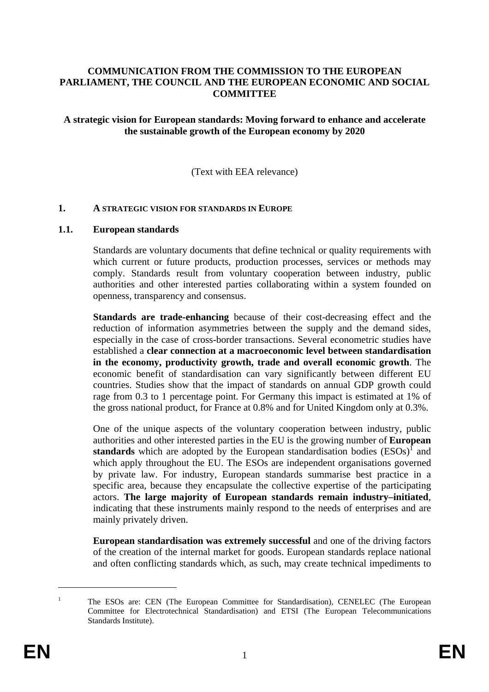### **COMMUNICATION FROM THE COMMISSION TO THE EUROPEAN PARLIAMENT, THE COUNCIL AND THE EUROPEAN ECONOMIC AND SOCIAL COMMITTEE**

### **A strategic vision for European standards: Moving forward to enhance and accelerate the sustainable growth of the European economy by 2020**

(Text with EEA relevance)

#### **1. A STRATEGIC VISION FOR STANDARDS IN EUROPE**

#### **1.1. European standards**

Standards are voluntary documents that define technical or quality requirements with which current or future products, production processes, services or methods may comply. Standards result from voluntary cooperation between industry, public authorities and other interested parties collaborating within a system founded on openness, transparency and consensus.

**Standards are trade-enhancing** because of their cost-decreasing effect and the reduction of information asymmetries between the supply and the demand sides, especially in the case of cross-border transactions. Several econometric studies have established a **clear connection at a macroeconomic level between standardisation in the economy, productivity growth, trade and overall economic growth**. The economic benefit of standardisation can vary significantly between different EU countries. Studies show that the impact of standards on annual GDP growth could rage from 0.3 to 1 percentage point. For Germany this impact is estimated at 1% of the gross national product, for France at 0.8% and for United Kingdom only at 0.3%.

One of the unique aspects of the voluntary cooperation between industry, public authorities and other interested parties in the EU is the growing number of **European standards** which are adopted by the European standardisation bodies  $(ESOs)^{1}$  and which apply throughout the EU. The ESOs are independent organisations governed by private law. For industry, European standards summarise best practice in a specific area, because they encapsulate the collective expertise of the participating actors. **The large majority of European standards remain industry–initiated**, indicating that these instruments mainly respond to the needs of enterprises and are mainly privately driven.

**European standardisation was extremely successful** and one of the driving factors of the creation of the internal market for goods. European standards replace national and often conflicting standards which, as such, may create technical impediments to

<sup>1</sup> The ESOs are: CEN (The European Committee for Standardisation), CENELEC (The European Committee for Electrotechnical Standardisation) and ETSI (The European Telecommunications Standards Institute).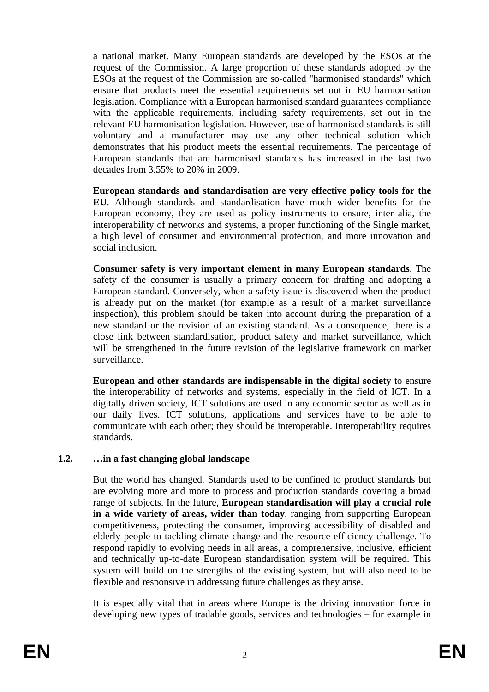a national market. Many European standards are developed by the ESOs at the request of the Commission. A large proportion of these standards adopted by the ESOs at the request of the Commission are so-called "harmonised standards" which ensure that products meet the essential requirements set out in EU harmonisation legislation. Compliance with a European harmonised standard guarantees compliance with the applicable requirements, including safety requirements, set out in the relevant EU harmonisation legislation. However, use of harmonised standards is still voluntary and a manufacturer may use any other technical solution which demonstrates that his product meets the essential requirements. The percentage of European standards that are harmonised standards has increased in the last two decades from 3.55% to 20% in 2009.

**European standards and standardisation are very effective policy tools for the EU**. Although standards and standardisation have much wider benefits for the European economy, they are used as policy instruments to ensure, inter alia, the interoperability of networks and systems, a proper functioning of the Single market, a high level of consumer and environmental protection, and more innovation and social inclusion.

**Consumer safety is very important element in many European standards**. The safety of the consumer is usually a primary concern for drafting and adopting a European standard. Conversely, when a safety issue is discovered when the product is already put on the market (for example as a result of a market surveillance inspection), this problem should be taken into account during the preparation of a new standard or the revision of an existing standard. As a consequence, there is a close link between standardisation, product safety and market surveillance, which will be strengthened in the future revision of the legislative framework on market surveillance.

**European and other standards are indispensable in the digital society** to ensure the interoperability of networks and systems, especially in the field of ICT. In a digitally driven society, ICT solutions are used in any economic sector as well as in our daily lives. ICT solutions, applications and services have to be able to communicate with each other; they should be interoperable. Interoperability requires standards.

# **1.2. …in a fast changing global landscape**

But the world has changed. Standards used to be confined to product standards but are evolving more and more to process and production standards covering a broad range of subjects. In the future, **European standardisation will play a crucial role in a wide variety of areas, wider than today**, ranging from supporting European competitiveness, protecting the consumer, improving accessibility of disabled and elderly people to tackling climate change and the resource efficiency challenge. To respond rapidly to evolving needs in all areas, a comprehensive, inclusive, efficient and technically up-to-date European standardisation system will be required. This system will build on the strengths of the existing system, but will also need to be flexible and responsive in addressing future challenges as they arise.

It is especially vital that in areas where Europe is the driving innovation force in developing new types of tradable goods, services and technologies – for example in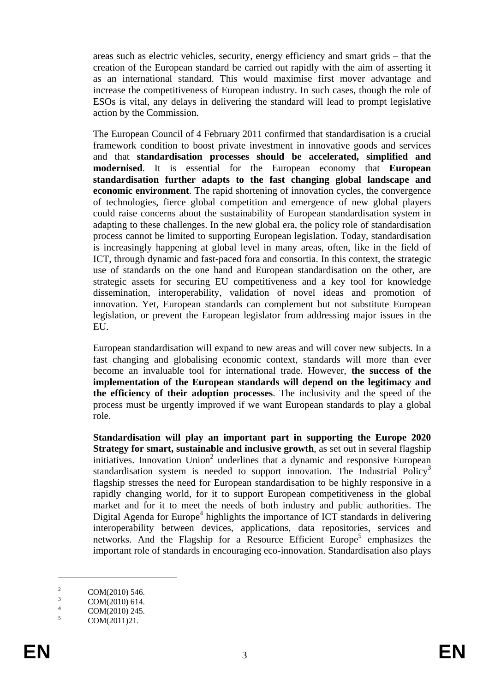areas such as electric vehicles, security, energy efficiency and smart grids – that the creation of the European standard be carried out rapidly with the aim of asserting it as an international standard. This would maximise first mover advantage and increase the competitiveness of European industry. In such cases, though the role of ESOs is vital, any delays in delivering the standard will lead to prompt legislative action by the Commission.

The European Council of 4 February 2011 confirmed that standardisation is a crucial framework condition to boost private investment in innovative goods and services and that **standardisation processes should be accelerated, simplified and modernised**. It is essential for the European economy that **European standardisation further adapts to the fast changing global landscape and economic environment**. The rapid shortening of innovation cycles, the convergence of technologies, fierce global competition and emergence of new global players could raise concerns about the sustainability of European standardisation system in adapting to these challenges. In the new global era, the policy role of standardisation process cannot be limited to supporting European legislation. Today, standardisation is increasingly happening at global level in many areas, often, like in the field of ICT, through dynamic and fast-paced fora and consortia. In this context, the strategic use of standards on the one hand and European standardisation on the other, are strategic assets for securing EU competitiveness and a key tool for knowledge dissemination, interoperability, validation of novel ideas and promotion of innovation. Yet, European standards can complement but not substitute European legislation, or prevent the European legislator from addressing major issues in the EU.

European standardisation will expand to new areas and will cover new subjects. In a fast changing and globalising economic context, standards will more than ever become an invaluable tool for international trade. However, **the success of the implementation of the European standards will depend on the legitimacy and the efficiency of their adoption processes**. The inclusivity and the speed of the process must be urgently improved if we want European standards to play a global role.

**Standardisation will play an important part in supporting the Europe 2020 Strategy for smart, sustainable and inclusive growth**, as set out in several flagship initiatives. Innovation Union<sup>2</sup> underlines that a dynamic and responsive European standardisation system is needed to support innovation. The Industrial Policy<sup>3</sup> flagship stresses the need for European standardisation to be highly responsive in a rapidly changing world, for it to support European competitiveness in the global market and for it to meet the needs of both industry and public authorities. The Digital Agenda for Europe<sup>4</sup> highlights the importance of ICT standards in delivering interoperability between devices, applications, data repositories, services and networks. And the Flagship for a Resource Efficient Europe<sup>5</sup> emphasizes the important role of standards in encouraging eco-innovation. Standardisation also plays

<sup>2</sup> COM(2010) 546.

<sup>3</sup> COM(2010) 614. 4

COM(2010) 245. 5

COM(2011)21.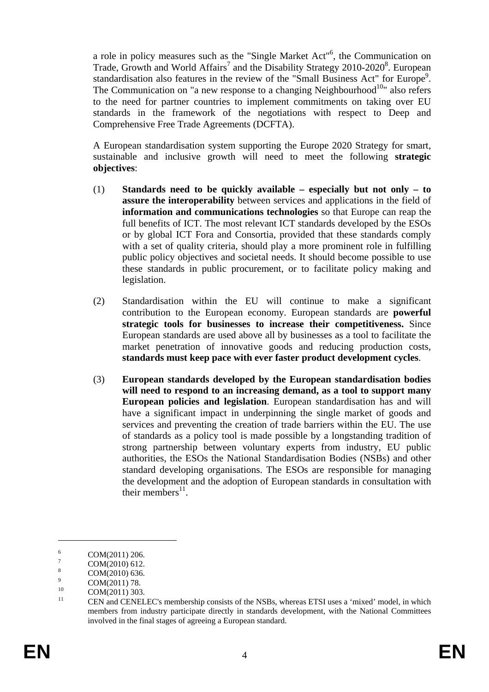a role in policy measures such as the "Single Market Act"<sup>6</sup>, the Communication on Trade, Growth and World Affairs<sup>7</sup> and the Disability Strategy 2010-2020<sup>8</sup>. European standardisation also features in the review of the "Small Business Act" for Europe<sup>9</sup>. The Communication on "a new response to a changing Neighbourhood<sup>10</sup>" also refers to the need for partner countries to implement commitments on taking over EU standards in the framework of the negotiations with respect to Deep and Comprehensive Free Trade Agreements (DCFTA).

A European standardisation system supporting the Europe 2020 Strategy for smart, sustainable and inclusive growth will need to meet the following **strategic objectives**:

- (1) **Standards need to be quickly available especially but not only to assure the interoperability** between services and applications in the field of **information and communications technologies** so that Europe can reap the full benefits of ICT. The most relevant ICT standards developed by the ESOs or by global ICT Fora and Consortia, provided that these standards comply with a set of quality criteria, should play a more prominent role in fulfilling public policy objectives and societal needs. It should become possible to use these standards in public procurement, or to facilitate policy making and legislation.
- (2) Standardisation within the EU will continue to make a significant contribution to the European economy. European standards are **powerful strategic tools for businesses to increase their competitiveness.** Since European standards are used above all by businesses as a tool to facilitate the market penetration of innovative goods and reducing production costs, **standards must keep pace with ever faster product development cycles**.
- (3) **European standards developed by the European standardisation bodies will need to respond to an increasing demand, as a tool to support many European policies and legislation**. European standardisation has and will have a significant impact in underpinning the single market of goods and services and preventing the creation of trade barriers within the EU. The use of standards as a policy tool is made possible by a longstanding tradition of strong partnership between voluntary experts from industry, EU public authorities, the ESOs the National Standardisation Bodies (NSBs) and other standard developing organisations. The ESOs are responsible for managing the development and the adoption of European standards in consultation with their members $^{11}$ .

<u>.</u>

<sup>6</sup> COM(2011) 206.

<sup>7</sup> COM(2010) 612.

<sup>8</sup> COM(2010) 636.

 $\overline{Q}$  $\frac{9}{10}$  COM(2011) 78.

 $\frac{10}{11}$  COM(2011) 303.

<sup>11</sup> CEN and CENELEC's membership consists of the NSBs, whereas ETSI uses a 'mixed' model, in which members from industry participate directly in standards development, with the National Committees involved in the final stages of agreeing a European standard.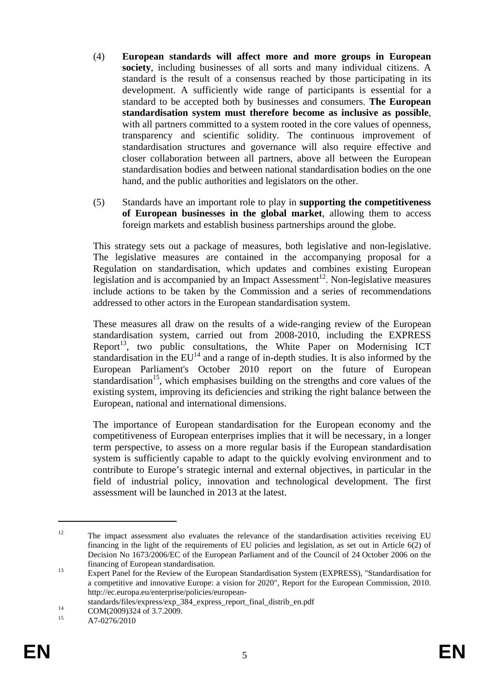- (4) **European standards will affect more and more groups in European society**, including businesses of all sorts and many individual citizens. A standard is the result of a consensus reached by those participating in its development. A sufficiently wide range of participants is essential for a standard to be accepted both by businesses and consumers. **The European standardisation system must therefore become as inclusive as possible**, with all partners committed to a system rooted in the core values of openness, transparency and scientific solidity. The continuous improvement of standardisation structures and governance will also require effective and closer collaboration between all partners, above all between the European standardisation bodies and between national standardisation bodies on the one hand, and the public authorities and legislators on the other.
- (5) Standards have an important role to play in **supporting the competitiveness of European businesses in the global market**, allowing them to access foreign markets and establish business partnerships around the globe.

This strategy sets out a package of measures, both legislative and non-legislative. The legislative measures are contained in the accompanying proposal for a Regulation on standardisation, which updates and combines existing European legislation and is accompanied by an Impact Assessment<sup>12</sup>. Non-legislative measures include actions to be taken by the Commission and a series of recommendations addressed to other actors in the European standardisation system.

These measures all draw on the results of a wide-ranging review of the European standardisation system, carried out from 2008-2010, including the EXPRESS Report<sup>13</sup>, two public consultations, the White Paper on Modernising ICT standardisation in the  $EU^{14}$  and a range of in-depth studies. It is also informed by the European Parliament's October 2010 report on the future of European standardisation<sup>15</sup>, which emphasises building on the strengths and core values of the existing system, improving its deficiencies and striking the right balance between the European, national and international dimensions.

The importance of European standardisation for the European economy and the competitiveness of European enterprises implies that it will be necessary, in a longer term perspective, to assess on a more regular basis if the European standardisation system is sufficiently capable to adapt to the quickly evolving environment and to contribute to Europe's strategic internal and external objectives, in particular in the field of industrial policy, innovation and technological development. The first assessment will be launched in 2013 at the latest.

<sup>&</sup>lt;sup>12</sup> The impact assessment also evaluates the relevance of the standardisation activities receiving EU financing in the light of the requirements of EU policies and legislation, as set out in Article 6(2) of Decision No 1673/2006/EC of the European Parliament and of the Council of 24 October 2006 on the

financing of European standardisation. 13 Expert Panel for the Review of the European Standardisation System (EXPRESS), "Standardisation for a competitive and innovative Europe: a vision for 2020", Report for the European Commission, 2010. [http://ec.europa.eu/enterprise/policies/european-](http://ec.europa.eu/enterprise/policies/european-standards/files/express/exp_384_express_report_final_distrib_en.pdf)

standards/files/express/exp\_384\_express\_report\_final\_distrib\_en.pdf<br>
COM(2009)324 of 3.7.2009.<br>
<sup>15</sup> A 7.0375/2010.

A7-0276/2010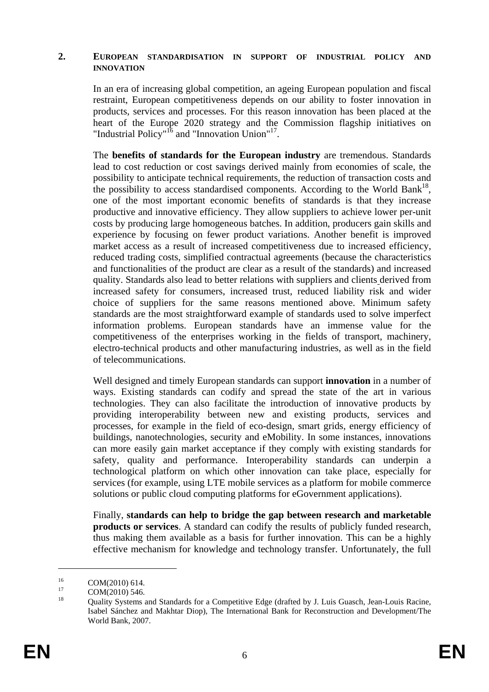#### **2. EUROPEAN STANDARDISATION IN SUPPORT OF INDUSTRIAL POLICY AND INNOVATION**

In an era of increasing global competition, an ageing European population and fiscal restraint, European competitiveness depends on our ability to foster innovation in products, services and processes. For this reason innovation has been placed at the heart of the Europe 2020 strategy and the Commission flagship initiatives on "Industrial Policy"16 and "Innovation Union"17.

The **benefits of standards for the European industry** are tremendous. Standards lead to cost reduction or cost savings derived mainly from economies of scale, the possibility to anticipate technical requirements, the reduction of transaction costs and the possibility to access standardised components. According to the World Bank<sup>18</sup>, one of the most important economic benefits of standards is that they increase productive and innovative efficiency. They allow suppliers to achieve lower per-unit costs by producing large homogeneous batches. In addition, producers gain skills and experience by focusing on fewer product variations. Another benefit is improved market access as a result of increased competitiveness due to increased efficiency, reduced trading costs, simplified contractual agreements (because the characteristics and functionalities of the product are clear as a result of the standards) and increased quality. Standards also lead to better relations with suppliers and clients derived from increased safety for consumers, increased trust, reduced liability risk and wider choice of suppliers for the same reasons mentioned above. Minimum safety standards are the most straightforward example of standards used to solve imperfect information problems. European standards have an immense value for the competitiveness of the enterprises working in the fields of transport, machinery, electro-technical products and other manufacturing industries, as well as in the field of telecommunications.

Well designed and timely European standards can support **innovation** in a number of ways. Existing standards can codify and spread the state of the art in various technologies. They can also facilitate the introduction of innovative products by providing interoperability between new and existing products, services and processes, for example in the field of eco-design, smart grids, energy efficiency of buildings, nanotechnologies, security and eMobility. In some instances, innovations can more easily gain market acceptance if they comply with existing standards for safety, quality and performance. Interoperability standards can underpin a technological platform on which other innovation can take place, especially for services (for example, using LTE mobile services as a platform for mobile commerce solutions or public cloud computing platforms for eGovernment applications).

Finally, **standards can help to bridge the gap between research and marketable products or services**. A standard can codify the results of publicly funded research, thus making them available as a basis for further innovation. This can be a highly effective mechanism for knowledge and technology transfer. Unfortunately, the full

<u>.</u>

 $^{16}$  COM(2010) 614.

 $\frac{17}{18}$  COM(2010) 546.

<sup>18</sup> Quality Systems and Standards for a Competitive Edge (drafted by J. Luis Guasch, Jean-Louis Racine, Isabel Sánchez and Makhtar Diop), The International Bank for Reconstruction and Development/The World Bank, 2007.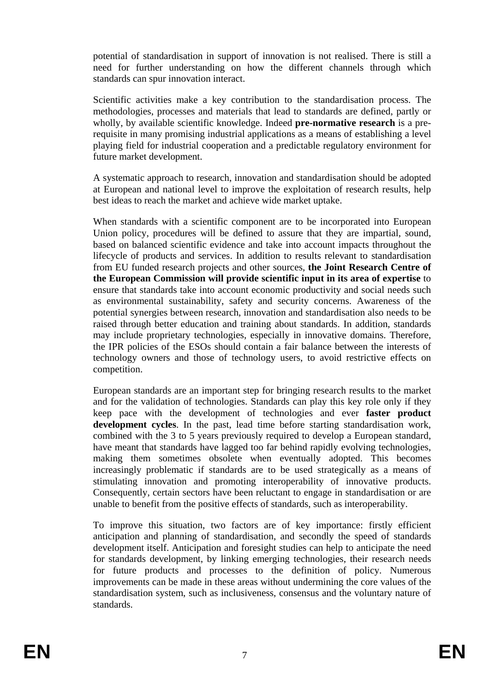potential of standardisation in support of innovation is not realised. There is still a need for further understanding on how the different channels through which standards can spur innovation interact.

Scientific activities make a key contribution to the standardisation process. The methodologies, processes and materials that lead to standards are defined, partly or wholly, by available scientific knowledge. Indeed **pre-normative research** is a prerequisite in many promising industrial applications as a means of establishing a level playing field for industrial cooperation and a predictable regulatory environment for future market development.

A systematic approach to research, innovation and standardisation should be adopted at European and national level to improve the exploitation of research results, help best ideas to reach the market and achieve wide market uptake.

When standards with a scientific component are to be incorporated into European Union policy, procedures will be defined to assure that they are impartial, sound, based on balanced scientific evidence and take into account impacts throughout the lifecycle of products and services. In addition to results relevant to standardisation from EU funded research projects and other sources, **the Joint Research Centre of the European Commission will provide scientific input in its area of expertise** to ensure that standards take into account economic productivity and social needs such as environmental sustainability, safety and security concerns. Awareness of the potential synergies between research, innovation and standardisation also needs to be raised through better education and training about standards. In addition, standards may include proprietary technologies, especially in innovative domains. Therefore, the IPR policies of the ESOs should contain a fair balance between the interests of technology owners and those of technology users, to avoid restrictive effects on competition.

European standards are an important step for bringing research results to the market and for the validation of technologies. Standards can play this key role only if they keep pace with the development of technologies and ever **faster product development cycles**. In the past, lead time before starting standardisation work, combined with the 3 to 5 years previously required to develop a European standard, have meant that standards have lagged too far behind rapidly evolving technologies, making them sometimes obsolete when eventually adopted. This becomes increasingly problematic if standards are to be used strategically as a means of stimulating innovation and promoting interoperability of innovative products. Consequently, certain sectors have been reluctant to engage in standardisation or are unable to benefit from the positive effects of standards, such as interoperability.

To improve this situation, two factors are of key importance: firstly efficient anticipation and planning of standardisation, and secondly the speed of standards development itself. Anticipation and foresight studies can help to anticipate the need for standards development, by linking emerging technologies, their research needs for future products and processes to the definition of policy. Numerous improvements can be made in these areas without undermining the core values of the standardisation system, such as inclusiveness, consensus and the voluntary nature of standards.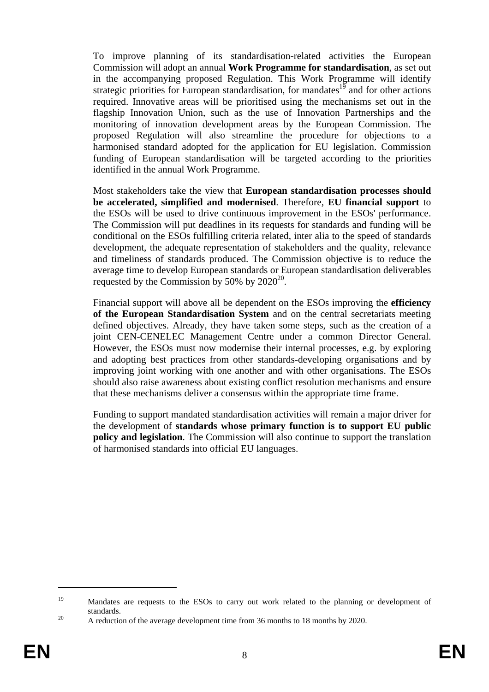To improve planning of its standardisation-related activities the European Commission will adopt an annual **Work Programme for standardisation**, as set out in the accompanying proposed Regulation. This Work Programme will identify strategic priorities for European standardisation, for mandates $1^{\overline{9}}$  and for other actions required. Innovative areas will be prioritised using the mechanisms set out in the flagship Innovation Union, such as the use of Innovation Partnerships and the monitoring of innovation development areas by the European Commission. The proposed Regulation will also streamline the procedure for objections to a harmonised standard adopted for the application for EU legislation. Commission funding of European standardisation will be targeted according to the priorities identified in the annual Work Programme.

Most stakeholders take the view that **European standardisation processes should be accelerated, simplified and modernised**. Therefore, **EU financial support** to the ESOs will be used to drive continuous improvement in the ESOs' performance. The Commission will put deadlines in its requests for standards and funding will be conditional on the ESOs fulfilling criteria related, inter alia to the speed of standards development, the adequate representation of stakeholders and the quality, relevance and timeliness of standards produced. The Commission objective is to reduce the average time to develop European standards or European standardisation deliverables requested by the Commission by 50% by  $2020^{20}$ .

Financial support will above all be dependent on the ESOs improving the **efficiency of the European Standardisation System** and on the central secretariats meeting defined objectives. Already, they have taken some steps, such as the creation of a joint CEN-CENELEC Management Centre under a common Director General. However, the ESOs must now modernise their internal processes, e.g. by exploring and adopting best practices from other standards-developing organisations and by improving joint working with one another and with other organisations. The ESOs should also raise awareness about existing conflict resolution mechanisms and ensure that these mechanisms deliver a consensus within the appropriate time frame.

Funding to support mandated standardisation activities will remain a major driver for the development of **standards whose primary function is to support EU public policy and legislation**. The Commission will also continue to support the translation of harmonised standards into official EU languages.

<sup>&</sup>lt;sup>19</sup> Mandates are requests to the ESOs to carry out work related to the planning or development of standards.<br><sup>20</sup> A reduction of the average development time from 36 months to 18 months by 2020.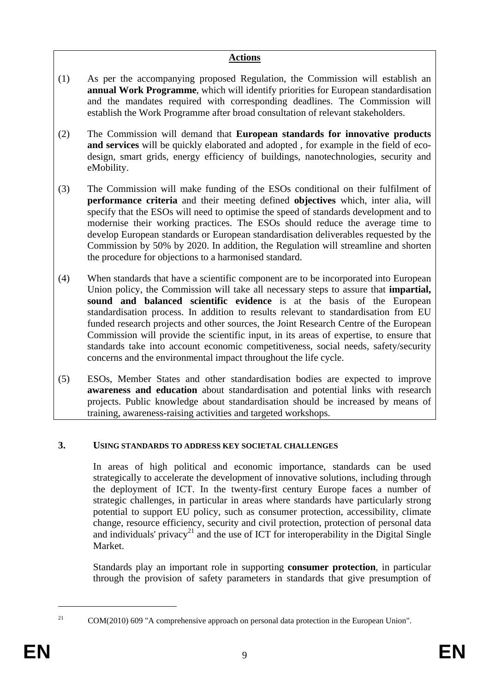## **Actions**

- (1) As per the accompanying proposed Regulation, the Commission will establish an **annual Work Programme**, which will identify priorities for European standardisation and the mandates required with corresponding deadlines. The Commission will establish the Work Programme after broad consultation of relevant stakeholders.
- (2) The Commission will demand that **European standards for innovative products and services** will be quickly elaborated and adopted , for example in the field of ecodesign, smart grids, energy efficiency of buildings, nanotechnologies, security and eMobility.
- (3) The Commission will make funding of the ESOs conditional on their fulfilment of **performance criteria** and their meeting defined **objectives** which, inter alia, will specify that the ESOs will need to optimise the speed of standards development and to modernise their working practices. The ESOs should reduce the average time to develop European standards or European standardisation deliverables requested by the Commission by 50% by 2020. In addition, the Regulation will streamline and shorten the procedure for objections to a harmonised standard.
- (4) When standards that have a scientific component are to be incorporated into European Union policy, the Commission will take all necessary steps to assure that **impartial, sound and balanced scientific evidence** is at the basis of the European standardisation process. In addition to results relevant to standardisation from EU funded research projects and other sources, the Joint Research Centre of the European Commission will provide the scientific input, in its areas of expertise, to ensure that standards take into account economic competitiveness, social needs, safety/security concerns and the environmental impact throughout the life cycle.
- (5) ESOs, Member States and other standardisation bodies are expected to improve **awareness and education** about standardisation and potential links with research projects. Public knowledge about standardisation should be increased by means of training, awareness-raising activities and targeted workshops.

# **3. USING STANDARDS TO ADDRESS KEY SOCIETAL CHALLENGES**

In areas of high political and economic importance, standards can be used strategically to accelerate the development of innovative solutions, including through the deployment of ICT. In the twenty-first century Europe faces a number of strategic challenges, in particular in areas where standards have particularly strong potential to support EU policy, such as consumer protection, accessibility, climate change, resource efficiency, security and civil protection, protection of personal data and individuals' privacy<sup>21</sup> and the use of ICT for interoperability in the Digital Single Market.

Standards play an important role in supporting **consumer protection**, in particular through the provision of safety parameters in standards that give presumption of

<sup>&</sup>lt;sup>21</sup> COM(2010) 609 "A comprehensive approach on personal data protection in the European Union".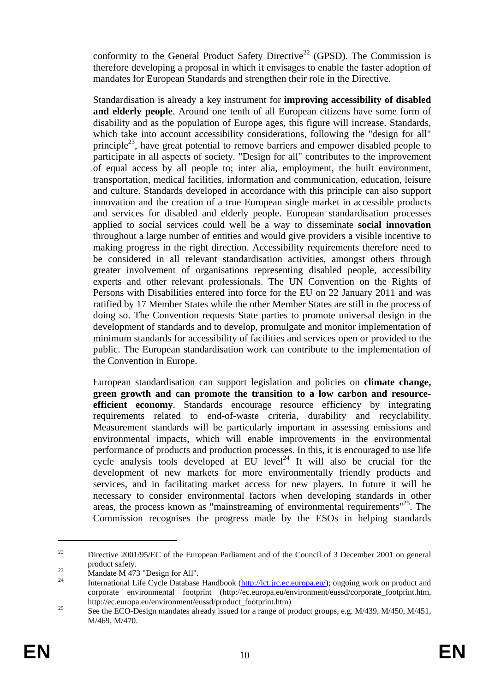conformity to the General Product Safety Directive<sup>22</sup> (GPSD). The Commission is therefore developing a proposal in which it envisages to enable the faster adoption of mandates for European Standards and strengthen their role in the Directive.

Standardisation is already a key instrument for **improving accessibility of disabled and elderly people**. Around one tenth of all European citizens have some form of disability and as the population of Europe ages, this figure will increase. Standards, which take into account accessibility considerations, following the "design for all" principle<sup>23</sup>, have great potential to remove barriers and empower disabled people to participate in all aspects of society. "Design for all" contributes to the improvement of equal access by all people to; inter alia, employment, the built environment, transportation, medical facilities, information and communication, education, leisure and culture. Standards developed in accordance with this principle can also support innovation and the creation of a true European single market in accessible products and services for disabled and elderly people. European standardisation processes applied to social services could well be a way to disseminate **social innovation** throughout a large number of entities and would give providers a visible incentive to making progress in the right direction. Accessibility requirements therefore need to be considered in all relevant standardisation activities, amongst others through greater involvement of organisations representing disabled people, accessibility experts and other relevant professionals. The UN Convention on the Rights of Persons with Disabilities entered into force for the EU on 22 January 2011 and was ratified by 17 Member States while the other Member States are still in the process of doing so. The Convention requests State parties to promote universal design in the development of standards and to develop, promulgate and monitor implementation of minimum standards for accessibility of facilities and services open or provided to the public. The European standardisation work can contribute to the implementation of the Convention in Europe.

European standardisation can support legislation and policies on **climate change, green growth and can promote the transition to a low carbon and resourceefficient economy**. Standards encourage resource efficiency by integrating requirements related to end-of-waste criteria, durability and recyclability. Measurement standards will be particularly important in assessing emissions and environmental impacts, which will enable improvements in the environmental performance of products and production processes. In this, it is encouraged to use life cycle analysis tools developed at  $EU$  level<sup>24</sup> It will also be crucial for the development of new markets for more environmentally friendly products and services, and in facilitating market access for new players. In future it will be necessary to consider environmental factors when developing standards in other areas, the process known as "mainstreaming of environmental requirements"<sup>25</sup>. The Commission recognises the progress made by the ESOs in helping standards

<u>.</u>

<sup>&</sup>lt;sup>22</sup> Directive 2001/95/EC of the European Parliament and of the Council of 3 December 2001 on general

product safety.<br>
Mandate M 473 "Design for All".

International Life Cycle Database Handbook [\(http://lct.jrc.ec.europa.eu/\)](http://lct.jrc.ec.europa.eu/); ongoing work on product and corporate environmental footprint (http://ec.europa.eu/environment/eussd/corporate\_footprint.htm, http://ec.europa.eu/environment/eussd/product\_footprint.htm)<br>
25 See the ECO-Design mandates already issued for a range of product groups, e.g. M/439, M/450, M/451,

M/469, M/470.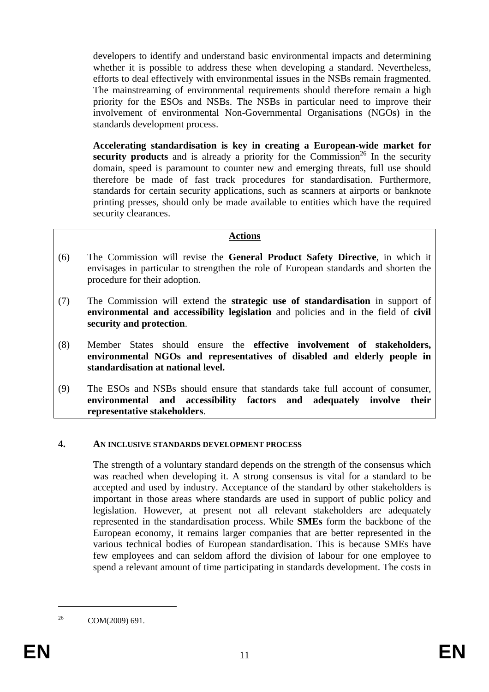developers to identify and understand basic environmental impacts and determining whether it is possible to address these when developing a standard. Nevertheless, efforts to deal effectively with environmental issues in the NSBs remain fragmented. The mainstreaming of environmental requirements should therefore remain a high priority for the ESOs and NSBs. The NSBs in particular need to improve their involvement of environmental Non-Governmental Organisations (NGOs) in the standards development process.

**Accelerating standardisation is key in creating a European-wide market for security products** and is already a priority for the Commission<sup>26</sup> In the security domain, speed is paramount to counter new and emerging threats, full use should therefore be made of fast track procedures for standardisation. Furthermore, standards for certain security applications, such as scanners at airports or banknote printing presses, should only be made available to entities which have the required security clearances.

## **Actions**

- (6) The Commission will revise the **General Product Safety Directive**, in which it envisages in particular to strengthen the role of European standards and shorten the procedure for their adoption.
- (7) The Commission will extend the **strategic use of standardisation** in support of **environmental and accessibility legislation** and policies and in the field of **civil security and protection**.
- (8) Member States should ensure the **effective involvement of stakeholders, environmental NGOs and representatives of disabled and elderly people in standardisation at national level.**
- (9) The ESOs and NSBs should ensure that standards take full account of consumer, **environmental and accessibility factors and adequately involve their representative stakeholders**.

#### **4. AN INCLUSIVE STANDARDS DEVELOPMENT PROCESS**

The strength of a voluntary standard depends on the strength of the consensus which was reached when developing it. A strong consensus is vital for a standard to be accepted and used by industry. Acceptance of the standard by other stakeholders is important in those areas where standards are used in support of public policy and legislation. However, at present not all relevant stakeholders are adequately represented in the standardisation process. While **SMEs** form the backbone of the European economy, it remains larger companies that are better represented in the various technical bodies of European standardisation. This is because SMEs have few employees and can seldom afford the division of labour for one employee to spend a relevant amount of time participating in standards development. The costs in

<sup>&</sup>lt;sup>26</sup> COM(2009) 691.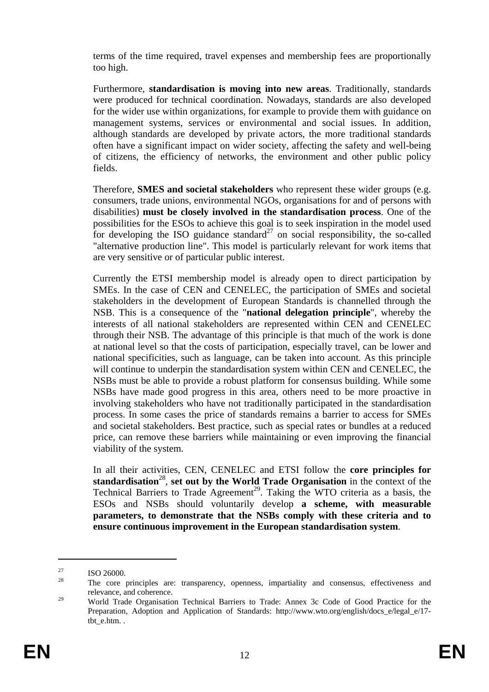terms of the time required, travel expenses and membership fees are proportionally too high.

Furthermore, **standardisation is moving into new areas**. Traditionally, standards were produced for technical coordination. Nowadays, standards are also developed for the wider use within organizations, for example to provide them with guidance on management systems, services or environmental and social issues. In addition, although standards are developed by private actors, the more traditional standards often have a significant impact on wider society, affecting the safety and well-being of citizens, the efficiency of networks, the environment and other public policy fields.

Therefore, **SMES and societal stakeholders** who represent these wider groups (e.g. consumers, trade unions, environmental NGOs, organisations for and of persons with disabilities) **must be closely involved in the standardisation process**. One of the possibilities for the ESOs to achieve this goal is to seek inspiration in the model used for developing the ISO guidance standard<sup>27</sup> on social responsibility, the so-called "alternative production line". This model is particularly relevant for work items that are very sensitive or of particular public interest.

Currently the ETSI membership model is already open to direct participation by SMEs. In the case of CEN and CENELEC, the participation of SMEs and societal stakeholders in the development of European Standards is channelled through the NSB. This is a consequence of the "**national delegation principle**", whereby the interests of all national stakeholders are represented within CEN and CENELEC through their NSB. The advantage of this principle is that much of the work is done at national level so that the costs of participation, especially travel, can be lower and national specificities, such as language, can be taken into account. As this principle will continue to underpin the standardisation system within CEN and CENELEC, the NSBs must be able to provide a robust platform for consensus building. While some NSBs have made good progress in this area, others need to be more proactive in involving stakeholders who have not traditionally participated in the standardisation process. In some cases the price of standards remains a barrier to access for SMEs and societal stakeholders. Best practice, such as special rates or bundles at a reduced price, can remove these barriers while maintaining or even improving the financial viability of the system.

In all their activities, CEN, CENELEC and ETSI follow the **core principles for standardisation**<sup>28</sup>, set out by the World Trade Organisation in the context of the Technical Barriers to Trade Agreement<sup>29</sup>. Taking the WTO criteria as a basis, the ESOs and NSBs should voluntarily develop **a scheme, with measurable parameters, to demonstrate that the NSBs comply with these criteria and to ensure continuous improvement in the European standardisation system**.

 $\frac{27}{28}$  ISO 26000.

<sup>28</sup> The core principles are: transparency, openness, impartiality and consensus, effectiveness and relevance, and coherence.

<sup>&</sup>lt;sup>29</sup> World Trade Organisation Technical Barriers to Trade: Annex 3c Code of Good Practice for the Preparation, Adoption and Application of Standards: http://www.wto.org/english/docs\_e/legal\_e/17 tbt e.htm. .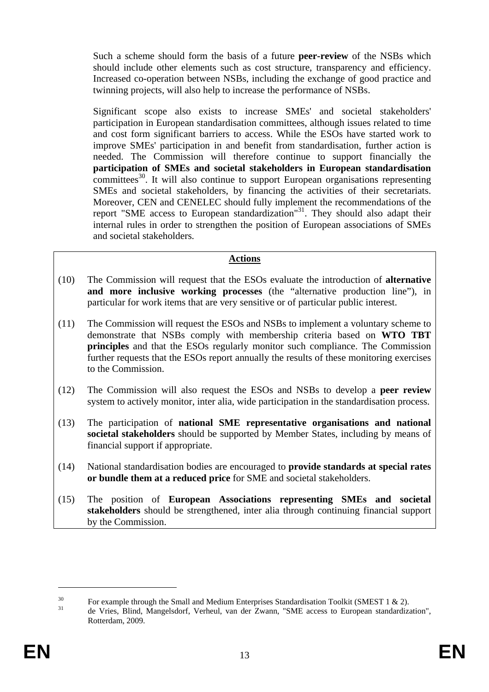Such a scheme should form the basis of a future **peer-review** of the NSBs which should include other elements such as cost structure, transparency and efficiency. Increased co-operation between NSBs, including the exchange of good practice and twinning projects, will also help to increase the performance of NSBs.

Significant scope also exists to increase SMEs' and societal stakeholders' participation in European standardisation committees, although issues related to time and cost form significant barriers to access. While the ESOs have started work to improve SMEs' participation in and benefit from standardisation, further action is needed. The Commission will therefore continue to support financially the **participation of SMEs and societal stakeholders in European standardisation**  $\overline{\text{commities}}^{30}$ . It will also continue to support European organisations representing SMEs and societal stakeholders, by financing the activities of their secretariats. Moreover, CEN and CENELEC should fully implement the recommendations of the report "SME access to European standardization"<sup>31</sup>. They should also adapt their internal rules in order to strengthen the position of European associations of SMEs and societal stakeholders.

## **Actions**

- (10) The Commission will request that the ESOs evaluate the introduction of **alternative and more inclusive working processes** (the "alternative production line"), in particular for work items that are very sensitive or of particular public interest.
- (11) The Commission will request the ESOs and NSBs to implement a voluntary scheme to demonstrate that NSBs comply with membership criteria based on **WTO TBT principles** and that the ESOs regularly monitor such compliance. The Commission further requests that the ESOs report annually the results of these monitoring exercises to the Commission.
- (12) The Commission will also request the ESOs and NSBs to develop a **peer review** system to actively monitor, inter alia, wide participation in the standardisation process.
- (13) The participation of **national SME representative organisations and national societal stakeholders** should be supported by Member States, including by means of financial support if appropriate.
- (14) National standardisation bodies are encouraged to **provide standards at special rates or bundle them at a reduced price** for SME and societal stakeholders.
- (15) The position of **European Associations representing SMEs and societal stakeholders** should be strengthened, inter alia through continuing financial support by the Commission.

<sup>&</sup>lt;sup>30</sup> For example through the Small and Medium Enterprises Standardisation Toolkit (SMEST 1 & 2).

<sup>31</sup> de Vries, Blind, Mangelsdorf, Verheul, van der Zwann, "SME access to European standardization", Rotterdam, 2009.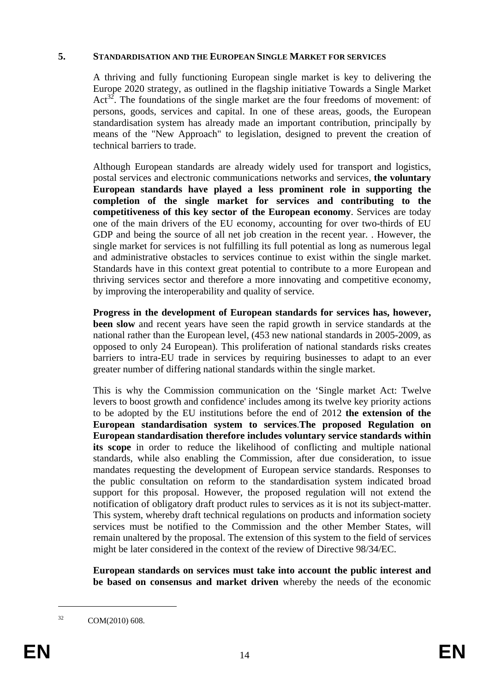#### **5. STANDARDISATION AND THE EUROPEAN SINGLE MARKET FOR SERVICES**

A thriving and fully functioning European single market is key to delivering the Europe 2020 strategy, as outlined in the flagship initiative Towards a Single Market  $Act^{32}$ . The foundations of the single market are the four freedoms of movement: of persons, goods, services and capital. In one of these areas, goods, the European standardisation system has already made an important contribution, principally by means of the "New Approach" to legislation, designed to prevent the creation of technical barriers to trade.

Although European standards are already widely used for transport and logistics, postal services and electronic communications networks and services, **the voluntary European standards have played a less prominent role in supporting the completion of the single market for services and contributing to the competitiveness of this key sector of the European economy**. Services are today one of the main drivers of the EU economy, accounting for over two-thirds of EU GDP and being the source of all net job creation in the recent year. . However, the single market for services is not fulfilling its full potential as long as numerous legal and administrative obstacles to services continue to exist within the single market. Standards have in this context great potential to contribute to a more European and thriving services sector and therefore a more innovating and competitive economy, by improving the interoperability and quality of service.

**Progress in the development of European standards for services has, however, been slow** and recent years have seen the rapid growth in service standards at the national rather than the European level, (453 new national standards in 2005-2009, as opposed to only 24 European). This proliferation of national standards risks creates barriers to intra-EU trade in services by requiring businesses to adapt to an ever greater number of differing national standards within the single market.

This is why the Commission communication on the 'Single market Act: Twelve levers to boost growth and confidence' includes among its twelve key priority actions to be adopted by the EU institutions before the end of 2012 **the extension of the European standardisation system to services**.**The proposed Regulation on European standardisation therefore includes voluntary service standards within its scope** in order to reduce the likelihood of conflicting and multiple national standards, while also enabling the Commission, after due consideration, to issue mandates requesting the development of European service standards. Responses to the public consultation on reform to the standardisation system indicated broad support for this proposal. However, the proposed regulation will not extend the notification of obligatory draft product rules to services as it is not its subject-matter. This system, whereby draft technical regulations on products and information society services must be notified to the Commission and the other Member States, will remain unaltered by the proposal. The extension of this system to the field of services might be later considered in the context of the review of Directive 98/34/EC.

**European standards on services must take into account the public interest and be based on consensus and market driven** whereby the needs of the economic

 $32$  COM(2010) 608.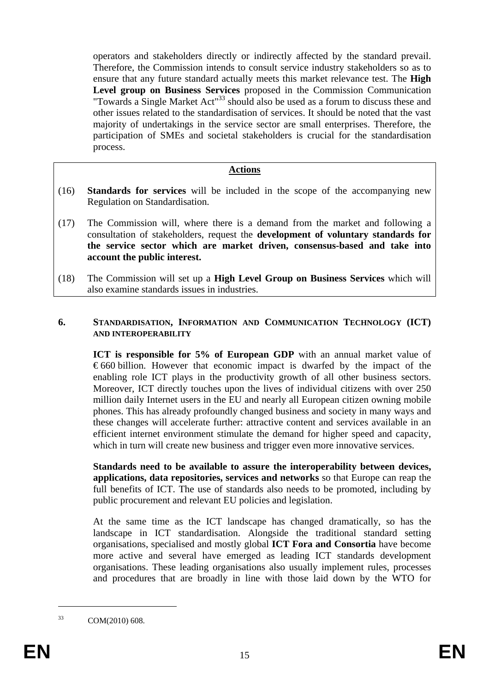operators and stakeholders directly or indirectly affected by the standard prevail. Therefore, the Commission intends to consult service industry stakeholders so as to ensure that any future standard actually meets this market relevance test. The **High Level group on Business Services** proposed in the Commission Communication "Towards a Single Market Act"<sup>33</sup> should also be used as a forum to discuss these and other issues related to the standardisation of services. It should be noted that the vast majority of undertakings in the service sector are small enterprises. Therefore, the participation of SMEs and societal stakeholders is crucial for the standardisation process.

#### **Actions**

- (16) **Standards for services** will be included in the scope of the accompanying new Regulation on Standardisation.
- (17) The Commission will, where there is a demand from the market and following a consultation of stakeholders, request the **development of voluntary standards for the service sector which are market driven, consensus-based and take into account the public interest.**
- (18) The Commission will set up a **High Level Group on Business Services** which will also examine standards issues in industries.

### **6. STANDARDISATION, INFORMATION AND COMMUNICATION TECHNOLOGY (ICT) AND INTEROPERABILITY**

**ICT** is responsible for 5% of European GDP with an annual market value of  $\epsilon$ 660 billion. However that economic impact is dwarfed by the impact of the enabling role ICT plays in the productivity growth of all other business sectors. Moreover, ICT directly touches upon the lives of individual citizens with over 250 million daily Internet users in the EU and nearly all European citizen owning mobile phones. This has already profoundly changed business and society in many ways and these changes will accelerate further: attractive content and services available in an efficient internet environment stimulate the demand for higher speed and capacity, which in turn will create new business and trigger even more innovative services.

**Standards need to be available to assure the interoperability between devices, applications, data repositories, services and networks** so that Europe can reap the full benefits of ICT. The use of standards also needs to be promoted, including by public procurement and relevant EU policies and legislation.

At the same time as the ICT landscape has changed dramatically, so has the landscape in ICT standardisation. Alongside the traditional standard setting organisations, specialised and mostly global **ICT Fora and Consortia** have become more active and several have emerged as leading ICT standards development organisations. These leading organisations also usually implement rules, processes and procedures that are broadly in line with those laid down by the WTO for

33 COM(2010) 608.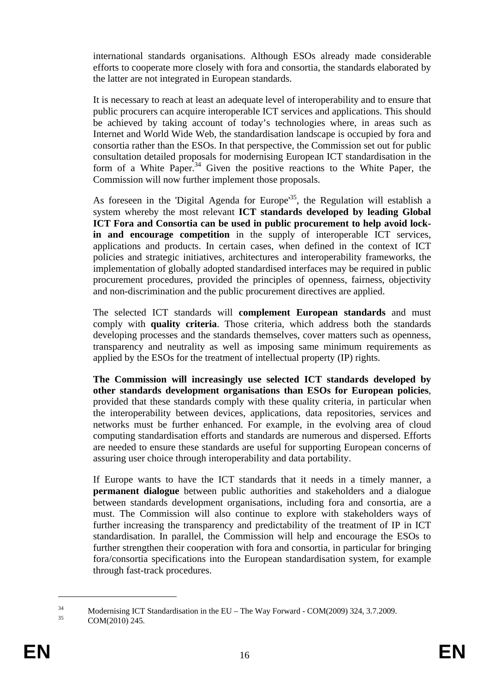international standards organisations. Although ESOs already made considerable efforts to cooperate more closely with fora and consortia, the standards elaborated by the latter are not integrated in European standards.

It is necessary to reach at least an adequate level of interoperability and to ensure that public procurers can acquire interoperable ICT services and applications. This should be achieved by taking account of today's technologies where, in areas such as Internet and World Wide Web, the standardisation landscape is occupied by fora and consortia rather than the ESOs. In that perspective, the Commission set out for public consultation detailed proposals for modernising European ICT standardisation in the form of a White Paper.<sup>34</sup> Given the positive reactions to the White Paper, the Commission will now further implement those proposals.

As foreseen in the 'Digital Agenda for Europe<sup>35</sup>, the Regulation will establish a system whereby the most relevant **ICT standards developed by leading Global ICT Fora and Consortia can be used in public procurement to help avoid lockin and encourage competition** in the supply of interoperable ICT services, applications and products. In certain cases, when defined in the context of ICT policies and strategic initiatives, architectures and interoperability frameworks, the implementation of globally adopted standardised interfaces may be required in public procurement procedures, provided the principles of openness, fairness, objectivity and non-discrimination and the public procurement directives are applied.

The selected ICT standards will **complement European standards** and must comply with **quality criteria**. Those criteria, which address both the standards developing processes and the standards themselves, cover matters such as openness, transparency and neutrality as well as imposing same minimum requirements as applied by the ESOs for the treatment of intellectual property (IP) rights.

**The Commission will increasingly use selected ICT standards developed by other standards development organisations than ESOs for European policies**, provided that these standards comply with these quality criteria, in particular when the interoperability between devices, applications, data repositories, services and networks must be further enhanced. For example, in the evolving area of cloud computing standardisation efforts and standards are numerous and dispersed. Efforts are needed to ensure these standards are useful for supporting European concerns of assuring user choice through interoperability and data portability.

If Europe wants to have the ICT standards that it needs in a timely manner, a **permanent dialogue** between public authorities and stakeholders and a dialogue between standards development organisations, including fora and consortia, are a must. The Commission will also continue to explore with stakeholders ways of further increasing the transparency and predictability of the treatment of IP in ICT standardisation. In parallel, the Commission will help and encourage the ESOs to further strengthen their cooperation with fora and consortia, in particular for bringing fora/consortia specifications into the European standardisation system, for example through fast-track procedures.

<u>.</u>

 $^{34}$  Modernising ICT Standardisation in the EU – The Way Forward - COM(2009) 324, 3.7.2009.

COM(2010) 245.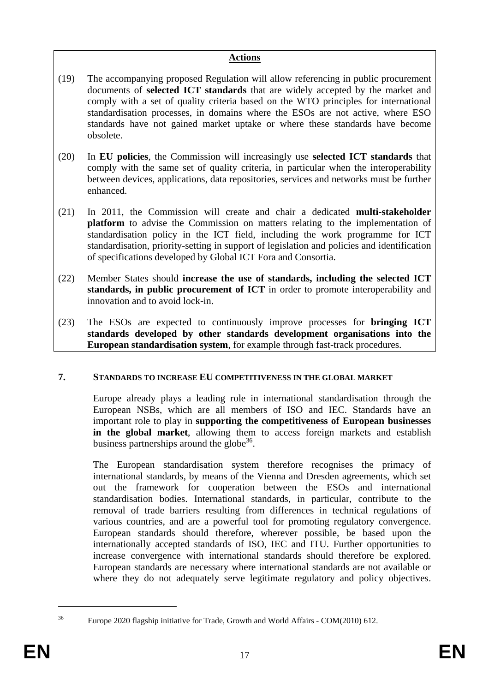## **Actions**

- (19) The accompanying proposed Regulation will allow referencing in public procurement documents of **selected ICT standards** that are widely accepted by the market and comply with a set of quality criteria based on the WTO principles for international standardisation processes, in domains where the ESOs are not active, where ESO standards have not gained market uptake or where these standards have become obsolete.
- (20) In **EU policies**, the Commission will increasingly use **selected ICT standards** that comply with the same set of quality criteria, in particular when the interoperability between devices, applications, data repositories, services and networks must be further enhanced.
- (21) In 2011, the Commission will create and chair a dedicated **multi-stakeholder platform** to advise the Commission on matters relating to the implementation of standardisation policy in the ICT field, including the work programme for ICT standardisation, priority-setting in support of legislation and policies and identification of specifications developed by Global ICT Fora and Consortia.
- (22) Member States should **increase the use of standards, including the selected ICT standards, in public procurement of ICT** in order to promote interoperability and innovation and to avoid lock-in.
- (23) The ESOs are expected to continuously improve processes for **bringing ICT standards developed by other standards development organisations into the European standardisation system**, for example through fast-track procedures.

# **7. STANDARDS TO INCREASE EU COMPETITIVENESS IN THE GLOBAL MARKET**

Europe already plays a leading role in international standardisation through the European NSBs, which are all members of ISO and IEC. Standards have an important role to play in **supporting the competitiveness of European businesses in the global market**, allowing them to access foreign markets and establish business partnerships around the globe<sup>36</sup>.

The European standardisation system therefore recognises the primacy of international standards, by means of the Vienna and Dresden agreements, which set out the framework for cooperation between the ESOs and international standardisation bodies. International standards, in particular, contribute to the removal of trade barriers resulting from differences in technical regulations of various countries, and are a powerful tool for promoting regulatory convergence. European standards should therefore, wherever possible, be based upon the internationally accepted standards of ISO, IEC and ITU. Further opportunities to increase convergence with international standards should therefore be explored. European standards are necessary where international standards are not available or where they do not adequately serve legitimate regulatory and policy objectives.

<sup>&</sup>lt;sup>36</sup> Europe 2020 flagship initiative for Trade, Growth and World Affairs - COM(2010) 612.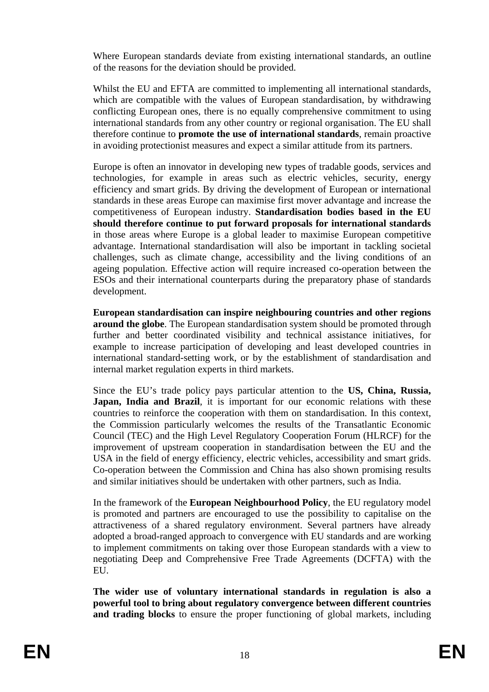Where European standards deviate from existing international standards, an outline of the reasons for the deviation should be provided.

Whilst the EU and EFTA are committed to implementing all international standards, which are compatible with the values of European standardisation, by withdrawing conflicting European ones, there is no equally comprehensive commitment to using international standards from any other country or regional organisation. The EU shall therefore continue to **promote the use of international standards**, remain proactive in avoiding protectionist measures and expect a similar attitude from its partners.

Europe is often an innovator in developing new types of tradable goods, services and technologies, for example in areas such as electric vehicles, security, energy efficiency and smart grids. By driving the development of European or international standards in these areas Europe can maximise first mover advantage and increase the competitiveness of European industry. **Standardisation bodies based in the EU should therefore continue to put forward proposals for international standards** in those areas where Europe is a global leader to maximise European competitive advantage. International standardisation will also be important in tackling societal challenges, such as climate change, accessibility and the living conditions of an ageing population. Effective action will require increased co-operation between the ESOs and their international counterparts during the preparatory phase of standards development.

**European standardisation can inspire neighbouring countries and other regions around the globe**. The European standardisation system should be promoted through further and better coordinated visibility and technical assistance initiatives, for example to increase participation of developing and least developed countries in international standard-setting work, or by the establishment of standardisation and internal market regulation experts in third markets.

Since the EU's trade policy pays particular attention to the **US, China, Russia, Japan, India and Brazil**, it is important for our economic relations with these countries to reinforce the cooperation with them on standardisation. In this context, the Commission particularly welcomes the results of the Transatlantic Economic Council (TEC) and the High Level Regulatory Cooperation Forum (HLRCF) for the improvement of upstream cooperation in standardisation between the EU and the USA in the field of energy efficiency, electric vehicles, accessibility and smart grids. Co-operation between the Commission and China has also shown promising results and similar initiatives should be undertaken with other partners, such as India.

In the framework of the **European Neighbourhood Policy**, the EU regulatory model is promoted and partners are encouraged to use the possibility to capitalise on the attractiveness of a shared regulatory environment. Several partners have already adopted a broad-ranged approach to convergence with EU standards and are working to implement commitments on taking over those European standards with a view to negotiating Deep and Comprehensive Free Trade Agreements (DCFTA) with the EU.

**The wider use of voluntary international standards in regulation is also a powerful tool to bring about regulatory convergence between different countries and trading blocks** to ensure the proper functioning of global markets, including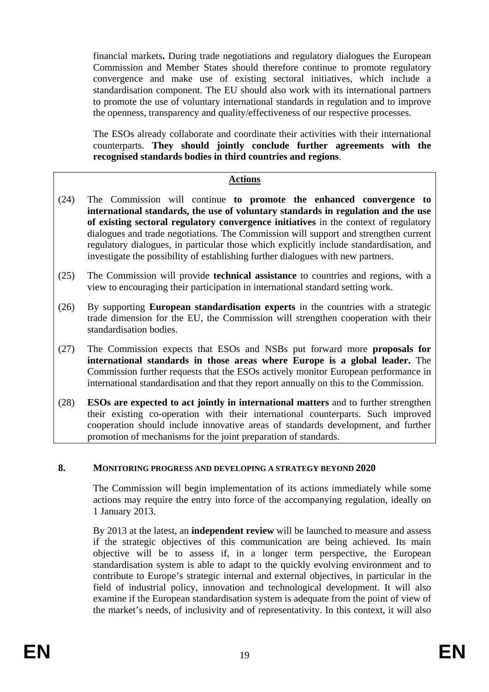financial markets**.** During trade negotiations and regulatory dialogues the European Commission and Member States should therefore continue to promote regulatory convergence and make use of existing sectoral initiatives, which include a standardisation component. The EU should also work with its international partners to promote the use of voluntary international standards in regulation and to improve the openness, transparency and quality/effectiveness of our respective processes.

The ESOs already collaborate and coordinate their activities with their international counterparts. **They should jointly conclude further agreements with the recognised standards bodies in third countries and regions**.

## **Actions**

- (24) The Commission will continue **to promote the enhanced convergence to international standards, the use of voluntary standards in regulation and the use of existing sectoral regulatory convergence initiatives** in the context of regulatory dialogues and trade negotiations. The Commission will support and strengthen current regulatory dialogues, in particular those which explicitly include standardisation, and investigate the possibility of establishing further dialogues with new partners.
- (25) The Commission will provide **technical assistance** to countries and regions, with a view to encouraging their participation in international standard setting work.
- (26) By supporting **European standardisation experts** in the countries with a strategic trade dimension for the EU, the Commission will strengthen cooperation with their standardisation bodies.
- (27) The Commission expects that ESOs and NSBs put forward more **proposals for international standards in those areas where Europe is a global leader.** The Commission further requests that the ESOs actively monitor European performance in international standardisation and that they report annually on this to the Commission.
- (28) **ESOs are expected to act jointly in international matters** and to further strengthen their existing co-operation with their international counterparts. Such improved cooperation should include innovative areas of standards development, and further promotion of mechanisms for the joint preparation of standards.

## **8. MONITORING PROGRESS AND DEVELOPING A STRATEGY BEYOND 2020**

The Commission will begin implementation of its actions immediately while some actions may require the entry into force of the accompanying regulation, ideally on 1 January 2013.

By 2013 at the latest, an **independent review** will be launched to measure and assess if the strategic objectives of this communication are being achieved. Its main objective will be to assess if, in a longer term perspective, the European standardisation system is able to adapt to the quickly evolving environment and to contribute to Europe's strategic internal and external objectives, in particular in the field of industrial policy, innovation and technological development. It will also examine if the European standardisation system is adequate from the point of view of the market's needs, of inclusivity and of representativity. In this context, it will also